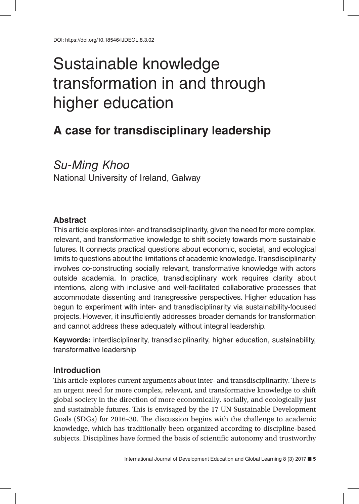# Sustainable knowledge transformation in and through higher education

## **A case for transdisciplinary leadership**

## *Su-Ming Khoo*

National University of Ireland, Galway

## **Abstract**

This article explores inter- and transdisciplinarity, given the need for more complex, relevant, and transformative knowledge to shift society towards more sustainable futures. It connects practical questions about economic, societal, and ecological limits to questions about the limitations of academic knowledge. Transdisciplinarity involves co-constructing socially relevant, transformative knowledge with actors outside academia. In practice, transdisciplinary work requires clarity about intentions, along with inclusive and well-facilitated collaborative processes that accommodate dissenting and transgressive perspectives. Higher education has begun to experiment with inter- and transdisciplinarity via sustainability-focused projects. However, it insufficiently addresses broader demands for transformation and cannot address these adequately without integral leadership.

**Keywords:** interdisciplinarity, transdisciplinarity, higher education, sustainability, transformative leadership

## **Introduction**

This article explores current arguments about inter- and transdisciplinarity. There is an urgent need for more complex, relevant, and transformative knowledge to shift global society in the direction of more economically, socially, and ecologically just and sustainable futures. This is envisaged by the 17 UN Sustainable Development Goals (SDGs) for 2016–30. The discussion begins with the challenge to academic knowledge, which has traditionally been organized according to discipline-based subjects. Disciplines have formed the basis of scientific autonomy and trustworthy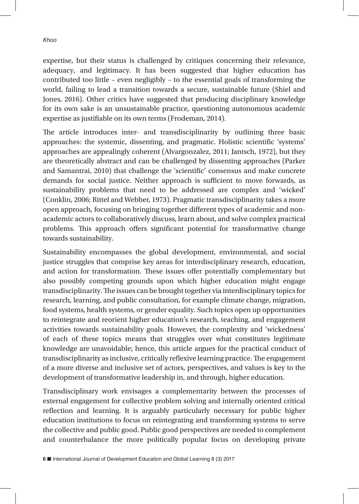expertise, but their status is challenged by critiques concerning their relevance, adequacy, and legitimacy. It has been suggested that higher education has contributed too little – even negligibly – to the essential goals of transforming the world, failing to lead a transition towards a secure, sustainable future (Shiel and Jones, 2016). Other critics have suggested that producing disciplinary knowledge for its own sake is an unsustainable practice, questioning autonomous academic expertise as justifiable on its own terms (Frodeman, 2014).

The article introduces inter- and transdisciplinarity by outlining three basic approaches: the systemic, dissenting, and pragmatic. Holistic scientific 'systems' approaches are appealingly coherent (Alvargonzalez, 2011; Jantsch, 1972), but they are theoretically abstract and can be challenged by dissenting approaches (Parker and Samantrai, 2010) that challenge the 'scientific' consensus and make concrete demands for social justice. Neither approach is sufficient to move forwards, as sustainability problems that need to be addressed are complex and 'wicked' (Conklin, 2006; Rittel and Webber, 1973). Pragmatic transdisciplinarity takes a more open approach, focusing on bringing together different types of academic and nonacademic actors to collaboratively discuss, learn about, and solve complex practical problems. This approach offers significant potential for transformative change towards sustainability.

Sustainability encompasses the global development, environmental, and social justice struggles that comprise key areas for interdisciplinary research, education, and action for transformation. These issues offer potentially complementary but also possibly competing grounds upon which higher education might engage transdisciplinarity. The issues can be brought together via interdisciplinary topics for research, learning, and public consultation, for example climate change, migration, food systems, health systems, or gender equality. Such topics open up opportunities to reintegrate and reorient higher education's research, teaching, and engagement activities towards sustainability goals. However, the complexity and 'wickedness' of each of these topics means that struggles over what constitutes legitimate knowledge are unavoidable; hence, this article argues for the practical conduct of transdisciplinarity as inclusive, critically reflexive learning practice. The engagement of a more diverse and inclusive set of actors, perspectives, and values is key to the development of transformative leadership in, and through, higher education.

Transdisciplinary work envisages a complementarity between the processes of external engagement for collective problem solving and internally oriented critical reflection and learning. It is arguably particularly necessary for public higher education institutions to focus on reintegrating and transforming systems to serve the collective and public good. Public good perspectives are needed to complement and counterbalance the more politically popular focus on developing private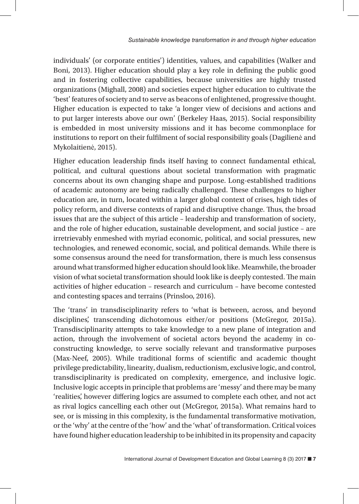individuals' (or corporate entities') identities, values, and capabilities (Walker and Boni, 2013). Higher education should play a key role in defining the public good and in fostering collective capabilities, because universities are highly trusted organizations (Mighall, 2008) and societies expect higher education to cultivate the 'best' features of society and to serve as beacons of enlightened, progressive thought. Higher education is expected to take 'a longer view of decisions and actions and to put larger interests above our own' (Berkeley Haas, 2015). Social responsibility is embedded in most university missions and it has become commonplace for institutions to report on their fulfilment of social responsibility goals (Dagilienė and Mykolaitienė, 2015).

Higher education leadership finds itself having to connect fundamental ethical, political, and cultural questions about societal transformation with pragmatic concerns about its own changing shape and purpose. Long-established traditions of academic autonomy are being radically challenged. These challenges to higher education are, in turn, located within a larger global context of crises, high tides of policy reform, and diverse contexts of rapid and disruptive change. Thus, the broad issues that are the subject of this article – leadership and transformation of society, and the role of higher education, sustainable development, and social justice – are irretrievably enmeshed with myriad economic, political, and social pressures, new technologies, and renewed economic, social, and political demands. While there is some consensus around the need for transformation, there is much less consensus around what transformed higher education should look like. Meanwhile, the broader vision of what societal transformation should look like is deeply contested. The main activities of higher education – research and curriculum – have become contested and contesting spaces and terrains (Prinsloo, 2016).

The 'trans' in transdisciplinarity refers to 'what is between, across, and beyond disciplines', transcending dichotomous either/or positions (McGregor, 2015a). Transdisciplinarity attempts to take knowledge to a new plane of integration and action, through the involvement of societal actors beyond the academy in coconstructing knowledge, to serve socially relevant and transformative purposes (Max-Neef, 2005). While traditional forms of scientific and academic thought privilege predictability, linearity, dualism, reductionism, exclusive logic, and control, transdisciplinarity is predicated on complexity, emergence, and inclusive logic. Inclusive logic accepts in principle that problems are 'messy' and there may be many 'realities', however differing logics are assumed to complete each other, and not act as rival logics cancelling each other out (McGregor, 2015a). What remains hard to see, or is missing in this complexity, is the fundamental transformative motivation, or the 'why' at the centre of the 'how' and the 'what' of transformation. Critical voices have found higher education leadership to be inhibited in its propensity and capacity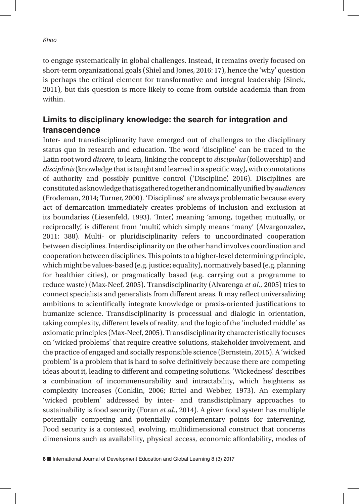to engage systematically in global challenges. Instead, it remains overly focused on short-term organizational goals (Shiel and Jones, 2016: 17), hence the 'why' question is perhaps the critical element for transformative and integral leadership (Sinek, 2011), but this question is more likely to come from outside academia than from within.

## **Limits to disciplinary knowledge: the search for integration and transcendence**

Inter- and transdisciplinarity have emerged out of challenges to the disciplinary status quo in research and education. The word 'discipline' can be traced to the Latin root word *discere*, to learn, linking the concept to *discipulus* (followership) and *disciplinis* (knowledge that is taught and learned in a specific way), with connotations of authority and possibly punitive control ('Discipline', 2016). Disciplines are constituted as knowledge that is gathered together and nominally unified by *audiences*  (Frodeman, 2014; Turner, 2000). 'Disciplines' are always problematic because every act of demarcation immediately creates problems of inclusion and exclusion at its boundaries (Liesenfeld, 1993). 'Inter', meaning 'among, together, mutually, or reciprocally', is different from 'multi', which simply means 'many' (Alvargonzalez, 2011: 388). Multi- or pluridisciplinarity refers to uncoordinated cooperation between disciplines. Interdisciplinarity on the other hand involves coordination and cooperation between disciplines. This points to a higher-level determining principle, which might be values-based (e.g. justice; equality), normatively based (e.g. planning for healthier cities), or pragmatically based (e.g. carrying out a programme to reduce waste) (Max-Neef, 2005). Transdisciplinarity (Alvarenga *et al*., 2005) tries to connect specialists and generalists from different areas. It may reflect universalizing ambitions to scientifically integrate knowledge or praxis-oriented justifications to humanize science. Transdisciplinarity is processual and dialogic in orientation, taking complexity, different levels of reality, and the logic of the 'included middle' as axiomatic principles (Max-Neef, 2005). Transdisciplinarity characteristically focuses on 'wicked problems' that require creative solutions, stakeholder involvement, and the practice of engaged and socially responsible science (Bernstein, 2015). A 'wicked problem' is a problem that is hard to solve definitively because there are competing ideas about it, leading to different and competing solutions. 'Wickedness' describes a combination of incommensurability and intractability, which heightens as complexity increases (Conklin, 2006; Rittel and Webber, 1973). An exemplary 'wicked problem' addressed by inter- and transdisciplinary approaches to sustainability is food security (Foran *et al*., 2014). A given food system has multiple potentially competing and potentially complementary points for intervening. Food security is a contested, evolving, multidimensional construct that concerns dimensions such as availability, physical access, economic affordability, modes of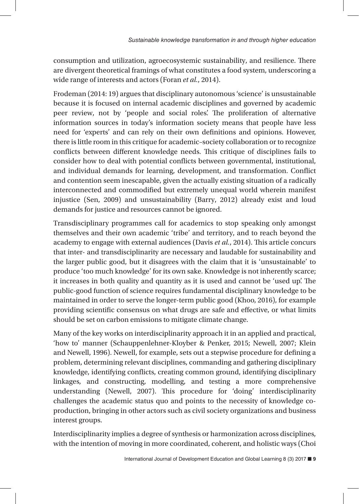consumption and utilization, agroecosystemic sustainability, and resilience. There are divergent theoretical framings of what constitutes a food system, underscoring a wide range of interests and actors (Foran *et al.*, 2014).

Frodeman (2014: 19) argues that disciplinary autonomous 'science' is unsustainable because it is focused on internal academic disciplines and governed by academic peer review, not by 'people and social roles'. The proliferation of alternative information sources in today's information society means that people have less need for 'experts' and can rely on their own definitions and opinions. However, there is little room in this critique for academic–society collaboration or to recognize conflicts between different knowledge needs. This critique of disciplines fails to consider how to deal with potential conflicts between governmental, institutional, and individual demands for learning, development, and transformation. Conflict and contention seem inescapable, given the actually existing situation of a radically interconnected and commodified but extremely unequal world wherein manifest injustice (Sen, 2009) and unsustainability (Barry, 2012) already exist and loud demands for justice and resources cannot be ignored.

Transdisciplinary programmes call for academics to stop speaking only amongst themselves and their own academic 'tribe' and territory, and to reach beyond the academy to engage with external audiences (Davis *et al.*, 2014). This article concurs that inter- and transdisciplinarity are necessary and laudable for sustainability and the larger public good, but it disagrees with the claim that it is 'unsustainable' to produce 'too much knowledge' for its own sake. Knowledge is not inherently scarce; it increases in both quality and quantity as it is used and cannot be 'used up'. The public-good function of science requires fundamental disciplinary knowledge to be maintained in order to serve the longer-term public good (Khoo, 2016), for example providing scientific consensus on what drugs are safe and effective, or what limits should be set on carbon emissions to mitigate climate change.

Many of the key works on interdisciplinarity approach it in an applied and practical, 'how to' manner (Schauppenlehner-Kloyber & Penker, 2015; Newell, 2007; Klein and Newell, 1996). Newell, for example, sets out a stepwise procedure for defining a problem, determining relevant disciplines, commanding and gathering disciplinary knowledge, identifying conflicts, creating common ground, identifying disciplinary linkages, and constructing, modelling, and testing a more comprehensive understanding (Newell, 2007). This procedure for 'doing' interdisciplinarity challenges the academic status quo and points to the necessity of knowledge coproduction, bringing in other actors such as civil society organizations and business interest groups.

Interdisciplinarity implies a degree of synthesis or harmonization across disciplines, with the intention of moving in more coordinated, coherent, and holistic ways (Choi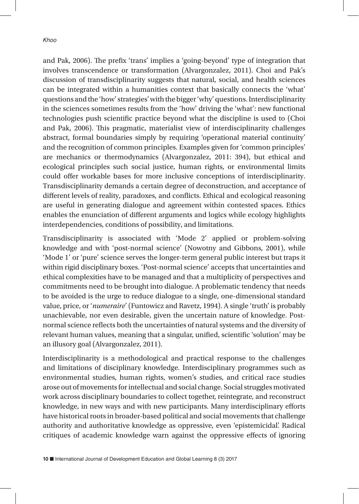and Pak, 2006). The prefix 'trans' implies a 'going-beyond' type of integration that involves transcendence or transformation (Alvargonzalez, 2011). Choi and Pak's discussion of transdisciplinarity suggests that natural, social, and health sciences can be integrated within a humanities context that basically connects the 'what' questions and the 'how' strategies' with the bigger 'why' questions. Interdisciplinarity in the sciences sometimes results from the 'how' driving the 'what': new functional technologies push scientific practice beyond what the discipline is used to (Choi and Pak, 2006). This pragmatic, materialist view of interdisciplinarity challenges abstract, formal boundaries simply by requiring 'operational material continuity' and the recognition of common principles. Examples given for 'common principles' are mechanics or thermodynamics (Alvargonzalez, 2011: 394), but ethical and ecological principles such social justice, human rights, or environmental limits could offer workable bases for more inclusive conceptions of interdisciplinarity. Transdisciplinarity demands a certain degree of deconstruction, and acceptance of different levels of reality, paradoxes, and conflicts. Ethical and ecological reasoning are useful in generating dialogue and agreement within contested spaces. Ethics enables the enunciation of different arguments and logics while ecology highlights interdependencies, conditions of possibility, and limitations.

Transdisciplinarity is associated with 'Mode 2' applied or problem-solving knowledge and with 'post-normal science' (Nowotny and Gibbons, 2001), while 'Mode 1' or 'pure' science serves the longer-term general public interest but traps it within rigid disciplinary boxes. 'Post-normal science' accepts that uncertainties and ethical complexities have to be managed and that a multiplicity of perspectives and commitments need to be brought into dialogue. A problematic tendency that needs to be avoided is the urge to reduce dialogue to a single, one-dimensional standard value, price, or '*numeraire*' (Funtowicz and Ravetz, 1994). A single 'truth' is probably unachievable, nor even desirable, given the uncertain nature of knowledge. Postnormal science reflects both the uncertainties of natural systems and the diversity of relevant human values, meaning that a singular, unified, scientific 'solution' may be an illusory goal (Alvargonzalez, 2011).

Interdisciplinarity is a methodological and practical response to the challenges and limitations of disciplinary knowledge. Interdisciplinary programmes such as environmental studies, human rights, women's studies, and critical race studies arose out of movements for intellectual and social change. Social struggles motivated work across disciplinary boundaries to collect together, reintegrate, and reconstruct knowledge, in new ways and with new participants. Many interdisciplinary efforts have historical roots in broader-based political and social movements that challenge authority and authoritative knowledge as oppressive, even 'epistemicidal'. Radical critiques of academic knowledge warn against the oppressive effects of ignoring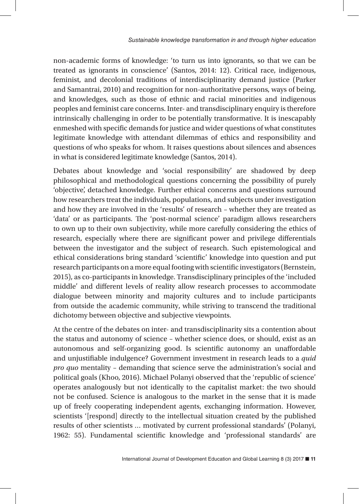non-academic forms of knowledge: 'to turn us into ignorants, so that we can be treated as ignorants in conscience' (Santos, 2014: 12). Critical race, indigenous, feminist, and decolonial traditions of interdisciplinarity demand justice (Parker and Samantrai, 2010) and recognition for non-authoritative persons, ways of being, and knowledges, such as those of ethnic and racial minorities and indigenous peoples and feminist care concerns. Inter- and transdisciplinary enquiry is therefore intrinsically challenging in order to be potentially transformative. It is inescapably enmeshed with specific demands for justice and wider questions of what constitutes legitimate knowledge with attendant dilemmas of ethics and responsibility and questions of who speaks for whom. It raises questions about silences and absences in what is considered legitimate knowledge (Santos, 2014).

Debates about knowledge and 'social responsibility' are shadowed by deep philosophical and methodological questions concerning the possibility of purely 'objective', detached knowledge. Further ethical concerns and questions surround how researchers treat the individuals, populations, and subjects under investigation and how they are involved in the 'results' of research – whether they are treated as 'data' or as participants. The 'post-normal science' paradigm allows researchers to own up to their own subjectivity, while more carefully considering the ethics of research, especially where there are significant power and privilege differentials between the investigator and the subject of research. Such epistemological and ethical considerations bring standard 'scientific' knowledge into question and put research participants on a more equal footing with scientific investigators (Bernstein, 2015), as co-participants in knowledge. Transdisciplinary principles of the 'included middle' and different levels of reality allow research processes to accommodate dialogue between minority and majority cultures and to include participants from outside the academic community, while striving to transcend the traditional dichotomy between objective and subjective viewpoints.

At the centre of the debates on inter- and transdisciplinarity sits a contention about the status and autonomy of science – whether science does, or should, exist as an autonomous and self-organizing good. Is scientific autonomy an unaffordable and unjustifiable indulgence? Government investment in research leads to a *quid pro quo* mentality – demanding that science serve the administration's social and political goals (Khoo, 2016). Michael Polanyi observed that the 'republic of science' operates analogously but not identically to the capitalist market: the two should not be confused. Science is analogous to the market in the sense that it is made up of freely cooperating independent agents, exchanging information. However, scientists '[respond] directly to the intellectual situation created by the published results of other scientists … motivated by current professional standards' (Polanyi, 1962: 55). Fundamental scientific knowledge and 'professional standards' are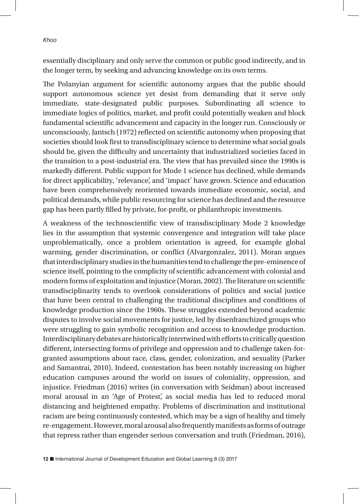essentially disciplinary and only serve the common or public good indirectly, and in the longer term, by seeking and advancing knowledge on its own terms.

The Polanyian argument for scientific autonomy argues that the public should support autonomous science yet desist from demanding that it serve only immediate, state-designated public purposes. Subordinating all science to immediate logics of politics, market, and profit could potentially weaken and block fundamental scientific advancement and capacity in the longer run. Consciously or unconsciously, Jantsch (1972) reflected on scientific autonomy when proposing that societies should look first to transdisciplinary science to determine what social goals should be, given the difficulty and uncertainty that industrialized societies faced in the transition to a post-industrial era. The view that has prevailed since the 1990s is markedly different. Public support for Mode 1 science has declined, while demands for direct applicability, 'relevance', and 'impact' have grown. Science and education have been comprehensively reoriented towards immediate economic, social, and political demands, while public resourcing for science has declined and the resource gap has been partly filled by private, for-profit, or philanthropic investments.

A weakness of the technoscientific view of transdisciplinary Mode 2 knowledge lies in the assumption that systemic convergence and integration will take place unproblematically, once a problem orientation is agreed, for example global warming, gender discrimination, or conflict (Alvargonzalez, 2011). Moran argues that interdisciplinary studies in the humanities tend to challenge the pre-eminence of science itself, pointing to the complicity of scientific advancement with colonial and modern forms of exploitation and injustice (Moran, 2002). The literature on scientific transdisciplinarity tends to overlook considerations of politics and social justice that have been central to challenging the traditional disciplines and conditions of knowledge production since the 1960s. These struggles extended beyond academic disputes to involve social movements for justice, led by disenfranchized groups who were struggling to gain symbolic recognition and access to knowledge production. Interdisciplinary debates are historically intertwined with efforts to critically question different, intersecting forms of privilege and oppression and to challenge taken-forgranted assumptions about race, class, gender, colonization, and sexuality (Parker and Samantrai, 2010). Indeed, contestation has been notably increasing on higher education campuses around the world on issues of coloniality, oppression, and injustice. Friedman (2016) writes (in conversation with Seidman) about increased moral arousal in an 'Age of Protest', as social media has led to reduced moral distancing and heightened empathy. Problems of discrimination and institutional racism are being continuously contested, which may be a sign of healthy and timely re-engagement. However, moral arousal also frequently manifests as forms of outrage that repress rather than engender serious conversation and truth (Friedman, 2016),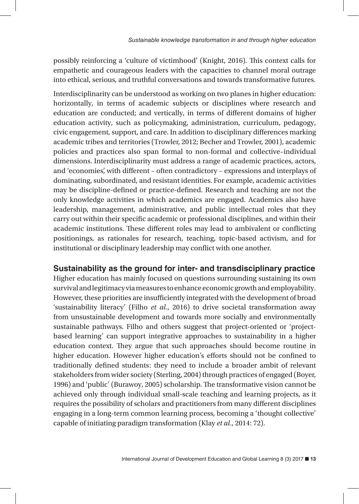possibly reinforcing a 'culture of victimhood' (Knight, 2016). This context calls for empathetic and courageous leaders with the capacities to channel moral outrage into ethical, serious, and truthful conversations and towards transformative futures.

Interdisciplinarity can be understood as working on two planes in higher education: horizontally, in terms of academic subjects or disciplines where research and education are conducted; and vertically, in terms of different domains of higher education activity, such as policymaking, administration, curriculum, pedagogy, civic engagement, support, and care. In addition to disciplinary differences marking academic tribes and territories (Trowler, 2012; Becher and Trowler, 2001), academic policies and practices also span formal to non-formal and collective–individual dimensions. Interdisciplinarity must address a range of academic practices, actors, and 'economies', with different – often contradictory – expressions and interplays of dominating, subordinated, and resistant identities. For example, academic activities may be discipline-defined or practice-defined. Research and teaching are not the only knowledge activities in which academics are engaged. Academics also have leadership, management, administrative, and public intellectual roles that they carry out within their specific academic or professional disciplines, and within their academic institutions. These different roles may lead to ambivalent or conflicting positionings, as rationales for research, teaching, topic-based activism, and for institutional or disciplinary leadership may conflict with one another.

## **Sustainability as the ground for inter- and transdisciplinary practice**

Higher education has mainly focused on questions surrounding sustaining its own survival and legitimacy via measures to enhance economic growth and employability. However, these priorities are insufficiently integrated with the development of broad 'sustainability literacy' (Filho *et al*., 2016) to drive societal transformation away from unsustainable development and towards more socially and environmentally sustainable pathways. Filho and others suggest that project-oriented or 'projectbased learning' can support integrative approaches to sustainability in a higher education context. They argue that such approaches should become routine in higher education. However higher education's efforts should not be confined to traditionally defined students: they need to include a broader ambit of relevant stakeholders from wider society (Sterling, 2004) through practices of engaged (Boyer, 1996) and 'public' (Burawoy, 2005) scholarship. The transformative vision cannot be achieved only through individual small-scale teaching and learning projects, as it requires the possibility of scholars and practitioners from many different disciplines engaging in a long-term common learning process, becoming a 'thought collective' capable of initiating paradigm transformation (Klay *et al*., 2014: 72).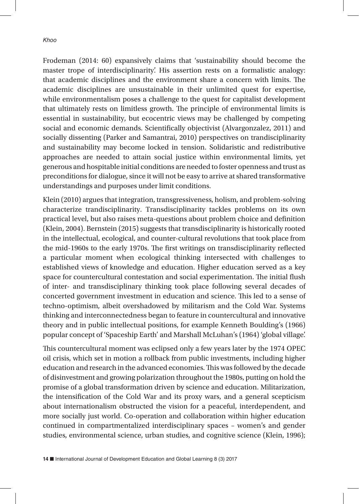Frodeman (2014: 60) expansively claims that 'sustainability should become the master trope of interdisciplinarity'. His assertion rests on a formalistic analogy: that academic disciplines and the environment share a concern with limits. The academic disciplines are unsustainable in their unlimited quest for expertise, while environmentalism poses a challenge to the quest for capitalist development that ultimately rests on limitless growth. The principle of environmental limits is essential in sustainability, but ecocentric views may be challenged by competing social and economic demands. Scientifically objectivist (Alvargonzalez, 2011) and socially dissenting (Parker and Samantrai, 2010) perspectives on trandisciplinarity and sustainability may become locked in tension. Solidaristic and redistributive approaches are needed to attain social justice within environmental limits, yet generous and hospitable initial conditions are needed to foster openness and trust as preconditions for dialogue, since it will not be easy to arrive at shared transformative understandings and purposes under limit conditions.

Klein (2010) argues that integration, transgressiveness, holism, and problem-solving characterize trandisciplinarity. Transdisciplinarity tackles problems on its own practical level, but also raises meta-questions about problem choice and definition (Klein, 2004). Bernstein (2015) suggests that transdisciplinarity is historically rooted in the intellectual, ecological, and counter-cultural revolutions that took place from the mid-1960s to the early 1970s. The first writings on transdisciplinarity reflected a particular moment when ecological thinking intersected with challenges to established views of knowledge and education. Higher education served as a key space for countercultural contestation and social experimentation. The initial flush of inter- and transdisciplinary thinking took place following several decades of concerted government investment in education and science. This led to a sense of techno-optimism, albeit overshadowed by militarism and the Cold War. Systems thinking and interconnectedness began to feature in countercultural and innovative theory and in public intellectual positions, for example Kenneth Boulding's (1966) popular concept of 'Spaceship Earth' and Marshall McLuhan's (1964) 'global village'.

This countercultural moment was eclipsed only a few years later by the 1974 OPEC oil crisis, which set in motion a rollback from public investments, including higher education and research in the advanced economies. This was followed by the decade of disinvestment and growing polarization throughout the 1980s, putting on hold the promise of a global transformation driven by science and education. Militarization, the intensification of the Cold War and its proxy wars, and a general scepticism about internationalism obstructed the vision for a peaceful, interdependent, and more socially just world. Co-operation and collaboration within higher education continued in compartmentalized interdisciplinary spaces – women's and gender studies, environmental science, urban studies, and cognitive science (Klein, 1996);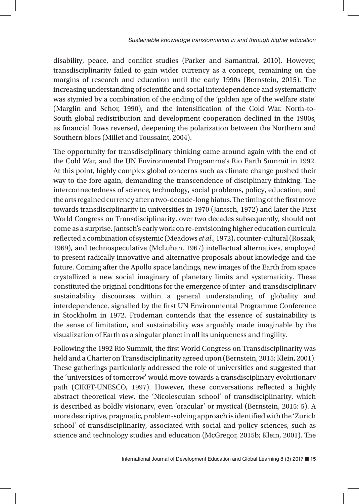disability, peace, and conflict studies (Parker and Samantrai, 2010). However, transdisciplinarity failed to gain wider currency as a concept, remaining on the margins of research and education until the early 1990s (Bernstein, 2015). The increasing understanding of scientific and social interdependence and systematicity was stymied by a combination of the ending of the 'golden age of the welfare state' (Marglin and Schor, 1990), and the intensification of the Cold War. North-to-South global redistribution and development cooperation declined in the 1980s, as financial flows reversed, deepening the polarization between the Northern and Southern blocs (Millet and Toussaint, 2004).

The opportunity for transdisciplinary thinking came around again with the end of the Cold War, and the UN Environmental Programme's Rio Earth Summit in 1992. At this point, highly complex global concerns such as climate change pushed their way to the fore again, demanding the transcendence of disciplinary thinking. The interconnectedness of science, technology, social problems, policy, education, and the arts regained currency after a two-decade-long hiatus. The timing of the first move towards transdisciplinarity in universities in 1970 (Jantsch, 1972) and later the First World Congress on Transdisciplinarity, over two decades subsequently, should not come as a surprise. Jantsch's early work on re-envisioning higher education curricula reflected a combination of systemic (Meadows *et al*., 1972), counter-cultural (Roszak, 1969), and technospeculative (McLuhan, 1967) intellectual alternatives, employed to present radically innovative and alternative proposals about knowledge and the future. Coming after the Apollo space landings, new images of the Earth from space crystallized a new social imaginary of planetary limits and systematicity. These constituted the original conditions for the emergence of inter- and transdisciplinary sustainability discourses within a general understanding of globality and interdependence, signalled by the first UN Environmental Programme Conference in Stockholm in 1972. Frodeman contends that the essence of sustainability is the sense of limitation, and sustainability was arguably made imaginable by the visualization of Earth as a singular planet in all its uniqueness and fragility.

Following the 1992 Rio Summit, the first World Congress on Transdisciplinarity was held and a Charter on Transdisciplinarity agreed upon (Bernstein, 2015; Klein, 2001). These gatherings particularly addressed the role of universities and suggested that the 'universities of tomorrow' would move towards a transdisciplinary evolutionary path (CIRET-UNESCO, 1997). However, these conversations reflected a highly abstract theoretical view, the 'Nicolescuian school' of transdisciplinarity, which is described as boldly visionary, even 'oracular' or mystical (Bernstein, 2015: 5). A more descriptive, pragmatic, problem-solving approach is identified with the 'Zurich school' of transdisciplinarity, associated with social and policy sciences, such as science and technology studies and education (McGregor, 2015b; Klein, 2001). The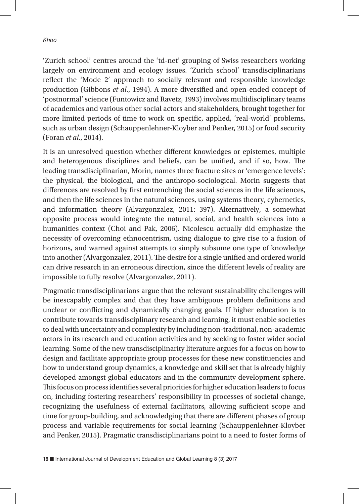'Zurich school' centres around the 'td-net' grouping of Swiss researchers working largely on environment and ecology issues. 'Zurich school' transdisciplinarians reflect the 'Mode 2' approach to socially relevant and responsible knowledge production (Gibbons *et al*., 1994). A more diversified and open-ended concept of 'postnormal' science (Funtowicz and Ravetz, 1993) involves multidisciplinary teams of academics and various other social actors and stakeholders, brought together for more limited periods of time to work on specific, applied, 'real-world' problems, such as urban design (Schauppenlehner-Kloyber and Penker, 2015) or food security (Foran *et al*., 2014).

It is an unresolved question whether different knowledges or epistemes, multiple and heterogenous disciplines and beliefs, can be unified, and if so, how. The leading transdisciplinarian, Morin, names three fracture sites or 'emergence levels': the physical, the biological, and the anthropo-sociological. Morin suggests that differences are resolved by first entrenching the social sciences in the life sciences, and then the life sciences in the natural sciences, using systems theory, cybernetics, and information theory (Alvargonzalez, 2011: 397). Alternatively, a somewhat opposite process would integrate the natural, social, and health sciences into a humanities context (Choi and Pak, 2006). Nicolescu actually did emphasize the necessity of overcoming ethnocentrism, using dialogue to give rise to a fusion of horizons, and warned against attempts to simply subsume one type of knowledge into another (Alvargonzalez, 2011). The desire for a single unified and ordered world can drive research in an erroneous direction, since the different levels of reality are impossible to fully resolve (Alvargonzalez, 2011).

Pragmatic transdisciplinarians argue that the relevant sustainability challenges will be inescapably complex and that they have ambiguous problem definitions and unclear or conflicting and dynamically changing goals. If higher education is to contribute towards transdisciplinary research and learning, it must enable societies to deal with uncertainty and complexity by including non-traditional, non-academic actors in its research and education activities and by seeking to foster wider social learning. Some of the new transdisciplinarity literature argues for a focus on how to design and facilitate appropriate group processes for these new constituencies and how to understand group dynamics, a knowledge and skill set that is already highly developed amongst global educators and in the community development sphere. This focus on process identifies several priorities for higher education leaders to focus on, including fostering researchers' responsibility in processes of societal change, recognizing the usefulness of external facilitators, allowing sufficient scope and time for group-building, and acknowledging that there are different phases of group process and variable requirements for social learning (Schauppenlehner-Kloyber and Penker, 2015). Pragmatic transdisciplinarians point to a need to foster forms of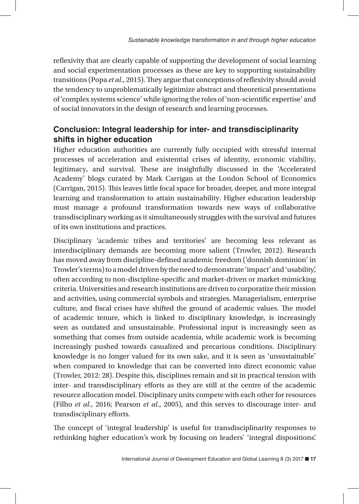reflexivity that are clearly capable of supporting the development of social learning and social experimentation processes as these are key to supporting sustainability transitions (Popa *et al*., 2015). They argue that conceptions of reflexivity should avoid the tendency to unproblematically legitimize abstract and theoretical presentations of 'complex systems science' while ignoring the roles of 'non-scientific expertise' and of social innovators in the design of research and learning processes.

## **Conclusion: Integral leadership for inter- and transdisciplinarity shifts in higher education**

Higher education authorities are currently fully occupied with stressful internal processes of acceleration and existential crises of identity, economic viability, legitimacy, and survival. These are insightfully discussed in the 'Accelerated Academy' blogs curated by Mark Carrigan at the London School of Economics (Carrigan, 2015). This leaves little focal space for broader, deeper, and more integral learning and transformation to attain sustainability. Higher education leadership must manage a profound transformation towards new ways of collaborative transdisciplinary working as it simultaneously struggles with the survival and futures of its own institutions and practices.

Disciplinary 'academic tribes and territories' are becoming less relevant as interdisciplinary demands are becoming more salient (Trowler, 2012). Research has moved away from discipline-defined academic freedom ('donnish dominion' in Trowler's terms) to a model driven by the need to demonstrate 'impact' and 'usability', often according to non-discipline-specific and market-driven or market-mimicking criteria. Universities and research institutions are driven to corporatize their mission and activities, using commercial symbols and strategies. Managerialism, enterprise culture, and fiscal crises have shifted the ground of academic values. The model of academic tenure, which is linked to disciplinary knowledge, is increasingly seen as outdated and unsustainable. Professional input is increasingly seen as something that comes from outside academia, while academic work is becoming increasingly pushed towards casualized and precarious conditions. Disciplinary knowledge is no longer valued for its own sake, and it is seen as 'unsustainable' when compared to knowledge that can be converted into direct economic value (Trowler, 2012: 28). Despite this, disciplines remain and sit in practical tension with inter- and transdisciplinary efforts as they are still at the centre of the academic resource allocation model. Disciplinary units compete with each other for resources (Filho *et al*., 2016; Pearson *et al*., 2005), and this serves to discourage inter- and transdisciplinary efforts.

The concept of 'integral leadership' is useful for transdisciplinarity responses to rethinking higher education's work by focusing on leaders' 'integral dispositions'.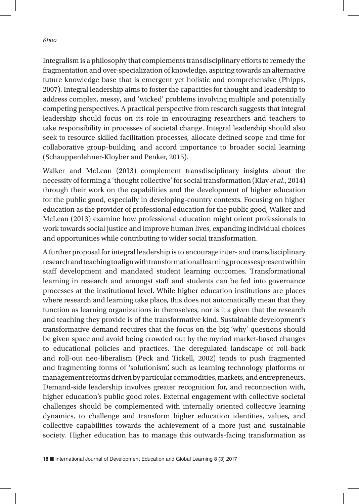Integralism is a philosophy that complements transdisciplinary efforts to remedy the fragmentation and over-specialization of knowledge, aspiring towards an alternative future knowledge base that is emergent yet holistic and comprehensive (Phipps, 2007). Integral leadership aims to foster the capacities for thought and leadership to address complex, messy, and 'wicked' problems involving multiple and potentially competing perspectives. A practical perspective from research suggests that integral leadership should focus on its role in encouraging researchers and teachers to take responsibility in processes of societal change. Integral leadership should also seek to resource skilled facilitation processes, allocate defined scope and time for collaborative group-building, and accord importance to broader social learning (Schauppenlehner-Kloyber and Penker, 2015).

Walker and McLean (2013) complement transdisciplinary insights about the necessity of forming a 'thought collective' for social transformation (Klay *et al*., 2014) through their work on the capabilities and the development of higher education for the public good, especially in developing-country contexts. Focusing on higher education as the provider of professional education for the public good, Walker and McLean (2013) examine how professional education might orient professionals to work towards social justice and improve human lives, expanding individual choices and opportunities while contributing to wider social transformation.

A further proposal for integral leadership is to encourage inter- and transdisciplinary research and teaching to align with transformational learning processes present within staff development and mandated student learning outcomes. Transformational learning in research and amongst staff and students can be fed into governance processes at the institutional level. While higher education institutions are places where research and learning take place, this does not automatically mean that they function as learning organizations in themselves, nor is it a given that the research and teaching they provide is of the transformative kind. Sustainable development's transformative demand requires that the focus on the big 'why' questions should be given space and avoid being crowded out by the myriad market-based changes to educational policies and practices. The deregulated landscape of roll-back and roll-out neo-liberalism (Peck and Tickell, 2002) tends to push fragmented and fragmenting forms of 'solutionism', such as learning technology platforms or management reforms driven by particular commodities, markets, and entrepreneurs. Demand-side leadership involves greater recognition for, and reconnection with, higher education's public good roles. External engagement with collective societal challenges should be complemented with internally oriented collective learning dynamics, to challenge and transform higher education identities, values, and collective capabilities towards the achievement of a more just and sustainable society. Higher education has to manage this outwards-facing transformation as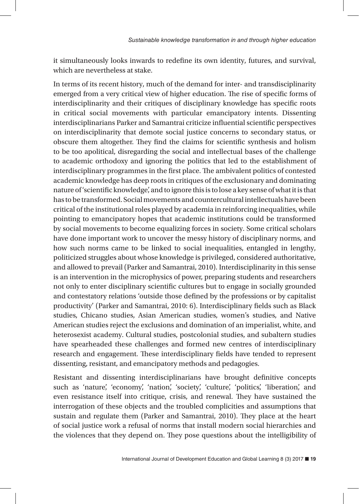it simultaneously looks inwards to redefine its own identity, futures, and survival, which are nevertheless at stake.

In terms of its recent history, much of the demand for inter- and transdisciplinarity emerged from a very critical view of higher education. The rise of specific forms of interdisciplinarity and their critiques of disciplinary knowledge has specific roots in critical social movements with particular emancipatory intents. Dissenting interdisciplinarians Parker and Samantrai criticize influential scientific perspectives on interdisciplinarity that demote social justice concerns to secondary status, or obscure them altogether. They find the claims for scientific synthesis and holism to be too apolitical, disregarding the social and intellectual bases of the challenge to academic orthodoxy and ignoring the politics that led to the establishment of interdisciplinary programmes in the first place. The ambivalent politics of contested academic knowledge has deep roots in critiques of the exclusionary and dominating nature of 'scientific knowledge', and to ignore this is to lose a key sense of what it is that has to be transformed. Social movements and countercultural intellectuals have been critical of the institutional roles played by academia in reinforcing inequalities, while pointing to emancipatory hopes that academic institutions could be transformed by social movements to become equalizing forces in society. Some critical scholars have done important work to uncover the messy history of disciplinary norms, and how such norms came to be linked to social inequalities, entangled in lengthy, politicized struggles about whose knowledge is privileged, considered authoritative, and allowed to prevail (Parker and Samantrai, 2010). Interdisciplinarity in this sense is an intervention in the microphysics of power, preparing students and researchers not only to enter disciplinary scientific cultures but to engage in socially grounded and contestatory relations 'outside those defined by the professions or by capitalist productivity' (Parker and Samantrai, 2010: 6). Interdisciplinary fields such as Black studies, Chicano studies, Asian American studies, women's studies, and Native American studies reject the exclusions and domination of an imperialist, white, and heterosexist academy. Cultural studies, postcolonial studies, and subaltern studies have spearheaded these challenges and formed new centres of interdisciplinary research and engagement. These interdisciplinary fields have tended to represent dissenting, resistant, and emancipatory methods and pedagogies.

Resistant and dissenting interdisciplinarians have brought definitive concepts such as 'nature', 'economy', 'nation', 'society', 'culture', 'politics', 'liberation', and even resistance itself into critique, crisis, and renewal. They have sustained the interrogation of these objects and the troubled complicities and assumptions that sustain and regulate them (Parker and Samantrai, 2010). They place at the heart of social justice work a refusal of norms that install modern social hierarchies and the violences that they depend on. They pose questions about the intelligibility of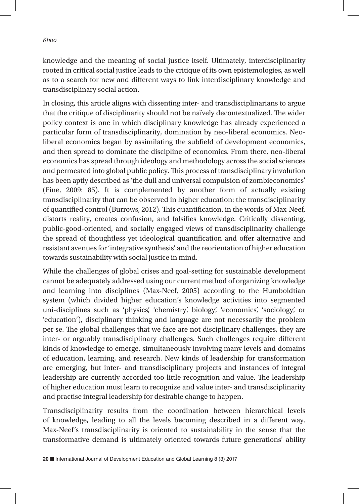knowledge and the meaning of social justice itself. Ultimately, interdisciplinarity rooted in critical social justice leads to the critique of its own epistemologies, as well as to a search for new and different ways to link interdisciplinary knowledge and transdisciplinary social action.

In closing, this article aligns with dissenting inter- and transdisciplinarians to argue that the critique of disciplinarity should not be naïvely decontextualized. The wider policy context is one in which disciplinary knowledge has already experienced a particular form of transdisciplinarity, domination by neo-liberal economics. Neoliberal economics began by assimilating the subfield of development economics, and then spread to dominate the discipline of economics. From there, neo-liberal economics has spread through ideology and methodology across the social sciences and permeated into global public policy. This process of transdisciplinary involution has been aptly described as 'the dull and universal compulsion of zombieconomics' (Fine, 2009: 85). It is complemented by another form of actually existing transdisciplinarity that can be observed in higher education: the transdisciplinarity of quantified control (Burrows, 2012). This quantification, in the words of Max-Neef, distorts reality, creates confusion, and falsifies knowledge. Critically dissenting, public-good-oriented, and socially engaged views of transdisciplinarity challenge the spread of thoughtless yet ideological quantification and offer alternative and resistant avenues for 'integrative synthesis' and the reorientation of higher education towards sustainability with social justice in mind.

While the challenges of global crises and goal-setting for sustainable development cannot be adequately addressed using our current method of organizing knowledge and learning into disciplines (Max-Neef, 2005) according to the Humboldtian system (which divided higher education's knowledge activities into segmented uni-disciplines such as 'physics', 'chemistry', biology', 'economics', 'sociology', or 'education'), disciplinary thinking and language are not necessarily the problem per se. The global challenges that we face are not disciplinary challenges, they are inter- or arguably transdisciplinary challenges. Such challenges require different kinds of knowledge to emerge, simultaneously involving many levels and domains of education, learning, and research. New kinds of leadership for transformation are emerging, but inter- and transdisciplinary projects and instances of integral leadership are currently accorded too little recognition and value. The leadership of higher education must learn to recognize and value inter- and transdisciplinarity and practise integral leadership for desirable change to happen.

Transdisciplinarity results from the coordination between hierarchical levels of knowledge, leading to all the levels becoming described in a different way. Max-Neef's transdisciplinarity is oriented to sustainability in the sense that the transformative demand is ultimately oriented towards future generations' ability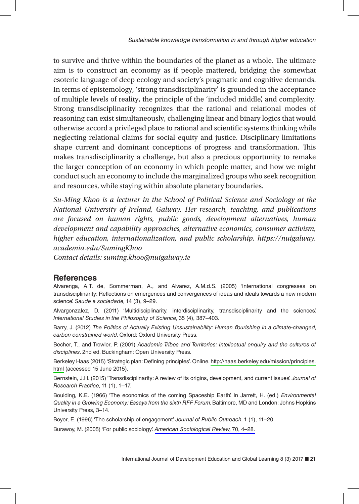to survive and thrive within the boundaries of the planet as a whole. The ultimate aim is to construct an economy as if people mattered, bridging the somewhat esoteric language of deep ecology and society's pragmatic and cognitive demands. In terms of epistemology, 'strong transdisciplinarity' is grounded in the acceptance of multiple levels of reality, the principle of the 'included middle', and complexity. Strong transdisciplinarity recognizes that the rational and relational modes of reasoning can exist simultaneously, challenging linear and binary logics that would otherwise accord a privileged place to rational and scientific systems thinking while neglecting relational claims for social equity and justice. Disciplinary limitations shape current and dominant conceptions of progress and transformation. This makes transdisciplinarity a challenge, but also a precious opportunity to remake the larger conception of an economy in which people matter, and how we might conduct such an economy to include the marginalized groups who seek recognition and resources, while staying within absolute planetary boundaries.

*Su-Ming Khoo is a lecturer in the School of Political Science and Sociology at the National University of Ireland, Galway. Her research, teaching, and publications are focused on human rights, public goods, development alternatives, human development and capability approaches, alternative economics, consumer activism, higher education, internationalization, and public scholarship. https://nuigalway. academia.edu/SumingKhoo*

*Contact details: suming.khoo@nuigalway.ie*

### **References**

Alvarenga, A.T. de, Sommerman, A., and Alvarez, A.M.d.S. (2005) 'International congresses on transdisciplinarity: Reflections on emergences and convergences of ideas and ideals towards a new modern science'. *Saude e sociedade,* 14 (3), 9–29.

Alvargonzalez, D. (2011) 'Multidisciplinarity, interdisciplinarity, transdisciplinarity and the sciences'. *International Studies in the Philosophy of Science,* 35 (4), 387–403.

Barry, J. (2012) *The Politics of Actually Existing Unsustainability: Human flourishing in a climate-changed, carbon constrained world.* Oxford: Oxford University Press.

Becher, T., and Trowler, P. (2001) *Academic Tribes and Territories: Intellectual enquiry and the cultures of disciplines.* 2nd ed. Buckingham: Open University Press.

Berkeley Haas (2015) 'Strategic plan: Defining principles'*.* Online. [http://haas.berkeley.edu/mission/principles.](http://haas.berkeley.edu/mission/principles.html) [html](http://haas.berkeley.edu/mission/principles.html) (accessed 15 June 2015).

Bernstein, J.H. (2015) 'Transdisciplinarity: A review of its origins, development, and current issues'. *Journal of Research Practice,* 11 (1), 1–17.

Boulding, K.E. (1966) 'The economics of the coming Spaceship Earth'. In Jarrett, H. (ed.) *Environmental Quality in a Growing Economy: Essays from the sixth RFF Forum.* Baltimore, MD and London: Johns Hopkins University Press, 3–14.

Boyer, E. (1996) 'The scholarship of engagement'. *Journal of Public Outreach,* 1 (1), 11–20.

Burawoy, M. (2005) 'For public sociology'. *[American Sociological Review,](http://www.ingentaconnect.com/content/external-references?article=0003-1224()70L.4[aid=7413013])* 70, 4–28.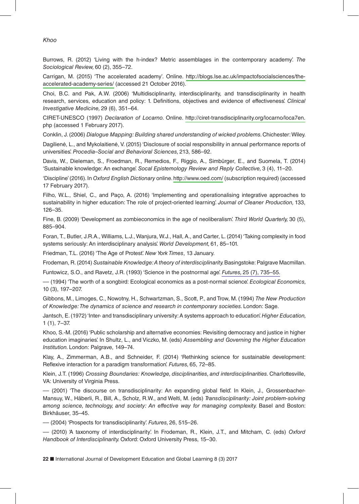Burrows, R. (2012) 'Living with the h-index? Metric assemblages in the contemporary academy'. *The Sociological Review,* 60 (2), 355–72.

Carrigan, M. (2015) 'The accelerated academy'*.* Online. [http://blogs.lse.ac.uk/impactofsocialsciences/the](http://blogs.lse.ac.uk/impactofsocialsciences/the-accelerated-academy-series/)[accelerated-academy-series/](http://blogs.lse.ac.uk/impactofsocialsciences/the-accelerated-academy-series/) (accessed 21 October 2016).

Choi, B.C. and Pak, A.W. (2006) 'Multidisciplinarity, interdisciplinarity, and transdisciplinarity in health research, services, education and policy: 1. Definitions, objectives and evidence of effectiveness'. *Clinical Investigative Medicine,* 29 (6), 351–64.

CIRET-UNESCO (1997) *Declaration of Locarno.* Online. [http://ciret-transdisciplinarity.org/locarno/loca7en.](http://ciret-transdisciplinarity.org/locarno/loca7en) php (accessed 1 February 2017).

Conklin, J. (2006) *Dialogue Mapping: Building shared understanding of wicked problems.* Chichester: Wiley.

Dagilienė, L., and Mykolaitienė, V. (2015) 'Disclosure of social responsibility in annual performance reports of universities'. *Procedia–Social and Behavioral Sciences,* 213, 586–92.

Davis, W., Dieleman, S., Froedman, R., Remedios, F., Riggio, A., Simbürger, E., and Suomela, T. (2014) 'Sustainable knowledge: An exchange'. *Socal Epistemology Review and Reply Collective,* 3 (4), 11–20.

'Discipline' (2016). In *Oxford English Dictionary* online.<http://www.oed.com/> (subscription required) (accessed 17 February 2017).

Filho, W.L., Shiel, C., and Paço, A. (2016) 'Implementing and operationalising integrative approaches to sustainability in higher education: The role of project-oriented learning'. *Journal of Cleaner Production,* 133, 126–35.

Fine, B. (2009) 'Development as zombieconomics in the age of neoliberalism'. *Third World Quarterly,* 30 (5), 885–904.

Foran, T., Butler, J.R.A., Williams, L.J., Wanjura, W.J., Hall, A., and Carter, L. (2014) 'Taking complexity in food systems seriously: An interdisciplinary analysis'. *World Development,* 61, 85–101.

Friedman, T.L. (2016) 'The Age of Protest'. *New York Times*, 13 January.

Frodeman, R. (2014) *Sustainable Knowledge: A theory of interdisciplinarity.* Basingstoke: Palgrave Macmillan.

Funtowicz, S.O., and Ravetz, J.R. (1993) 'Science in the postnormal age'. *Futures,* [25 \(7\), 735–55.](http://www.ingentaconnect.com/content/external-references?article=0016-3287()2L.5[aid=9449698])

–– (1994) 'The worth of a songbird: Ecological economics as a post-normal science'. *Ecological Economics,*  10 (3), 197–207.

Gibbons, M., Limoges, C., Nowotny, H., Schwartzman, S., Scott, P., and Trow, M. (1994) *The New Production of Knowledge: The dynamics of science and research in contemporary societies.* London: Sage.

Jantsch, E. (1972) 'Inter- and transdisciplinary university: A systems approach to education'. *Higher Education,*  1 (1), 7–37.

Khoo, S.-M. (2016) 'Public scholarship and alternative economies: Revisiting democracy and justice in higher education imaginaries'. In Shultz, L., and Viczko, M. (eds) *Assembling and Governing the Higher Education Institution.* London: Palgrave, 149–74.

Klay, A., Zimmerman, A.B., and Schneider, F. (2014) 'Rethinking science for sustainable development: Reflexive interaction for a paradigm transformation'. *Futures,* 65, 72–85.

Klein, J.T. (1996) *Crossing Boundaries: Knowledge, disciplinarities, and interdisciplinarities.* Charlottesville, VA: University of Virginia Press.

–– (2001) 'The discourse on transdisciplinarity: An expanding global field'. In Klein, J., Grossenbacher-Mansuy, W., Häberli, R., Bill, A., Scholz, R.W., and Welti, M. (eds) *Transdisciplinarity: Joint problem-solving*  among science, technology, and society: An effective way for managing complexity. Basel and Boston: Birkhäuser, 35–45.

–– (2004) 'Prospects for transdisciplinarity'. *Futures,* 26, 515–26.

–– (2010) 'A taxonomy of interdisciplinarity'. In Frodeman, R., Klein, J.T., and Mitcham, C. (eds) *Oxford Handbook of Interdisciplinarity.* Oxford: Oxford University Press, 15–30.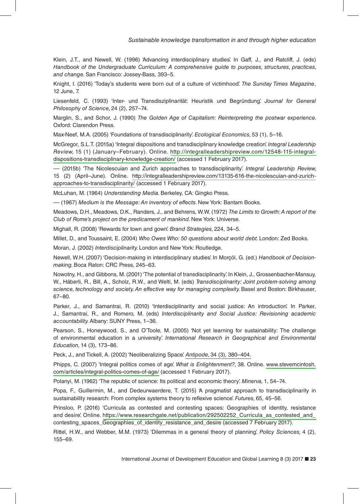Klein, J.T., and Newell, W. (1996) 'Advancing interdisciplinary studies'. In Gaff, J., and Ratcliff, J. (eds) *Handbook of the Undergraduate Curriculum: A comprehensive guide to purposes, structures, practices, and change.* San Francisco: Jossey-Bass, 393–5.

Knight, I. (2016) 'Today's students were born out of a culture of victimhood'. *The Sunday Times Magazine*, 12 June, 7.

Liesenfeld, C. (1993) 'Inter- und Transdisziplinarität: Heuristik und Begründung'. *Journal for General Philosophy of Science,* 24 (2), 257–74.

Marglin, S., and Schor, J. (1990) *The Golden Age of Capitalism: Reinterpreting the postwar experience.*  Oxford: Clarendon Press.

Max-Neef, M.A. (2005) 'Foundations of transdisciplinarity'. *Ecological Economics,* 53 (1), 5–16.

McGregor, S.L.T. (2015a) 'Integral dispositions and transdisciplinary knowledge creation'. *Integral Leadership Review,* 15 (1) (January–February). Online. [http://integralleadershipreview.com/12548-115-integral](http://integralleadershipreview.com/12548-115-integral-dispositions-transdisciplinary-knowledge-creation/)[dispositions-transdisciplinary-knowledge-creation/](http://integralleadershipreview.com/12548-115-integral-dispositions-transdisciplinary-knowledge-creation/) (accessed 1 February 2017).

–– (2015b) 'The Nicolescuian and Zurich approaches to transdisciplinarity'. *Integral Leadership Review,*  15 (2) (April–June). Online. [http://integralleadershipreview.com/13135-616-the-nicolescuian-and-zurich](http://integralleadershipreview.com/13135-616-the-nicolescuian-and-zurich-approaches-to-transdisciplinarity/)[approaches-to-transdisciplinarity/](http://integralleadershipreview.com/13135-616-the-nicolescuian-and-zurich-approaches-to-transdisciplinarity/) (accessed 1 February 2017).

McLuhan, M. (1964) *Understanding Media.* Berkeley, CA: Gingko Press.

–– (1967) *Medium is the Message: An inventory of effects.* New York: Bantam Books.

Meadows, D.H., Meadows, D.K., Randers, J., and Behrens, W.W. (1972) *The Limits to Growth: A report of the Club of Rome's project on the predicament of mankind.* New York: Universe.

Mighall, R. (2008) 'Rewards for town and gown'. *Brand Strategies,* 224, 34–5.

Millet, D., and Toussaint, E. (2004) *Who Owes Who: 50 questions about world debt.* London: Zed Books.

Moran, J. (2002) *Interdisciplinarity.* London and New York: Routledge.

Newell, W.H. (2007) 'Decision-making in interdisciplinary studies'. In Morçöl, G. (ed.) *Handbook of Decisionmaking.* Boca Raton: CRC Press, 245–63.

Nowotny, H., and Gibbons, M. (2001) 'The potential of transdisciplinarity'. In Klein, J., Grossenbacher-Mansuy, W., Häberli, R., Bill, A., Scholz, R.W., and Welti, M. (eds) *Transdisciplinarity: Joint problem-solving among*  science, technology and society. An effective way for managing complexity. Basel and Boston: Birkhauser, 67–80.

Parker, J., and Samantrai, R. (2010) 'Interdisciplinarity and social justice: An introduction'. In Parker, J., Samantrai, R., and Romero, M. (eds) *Interdisciplinarity and Social Justice: Revisioning academic accountability.* Albany: SUNY Press, 1–36.

Pearson, S., Honeywood, S., and O'Toole, M. (2005) 'Not yet learning for sustainability: The challenge of environmental education in a university'. *International Research in Geographical and Environmental Education,* 14 (3), 173–86.

Peck, J., and Tickell, A. (2002) 'Neoliberalizing Space'. *Antipode,* [34 \(3\), 380–404.](http://www.ingentaconnect.com/content/external-references?article=0066-4812()3L.4[aid=10939197])

Phipps, C. (2007) 'Integral politics comes of age'. *What is Enlightenment?,* 38. Online. [www.stevemcintosh.](http://www.stevemcintosh.com/articles/integral-politics-comes-of-age/) [com/articles/integral-politics-comes-of-age/](http://www.stevemcintosh.com/articles/integral-politics-comes-of-age/) (accessed 1 February 2017).

Polanyi, M. (1962) 'The republic of science: Its political and economic theory'. *Minerva,* 1, 54–74.

Popa, F., Guillermin, M., and Dedeurwaerdere, T. (2015) 'A pragmatist approach to transdisciplinarity in sustainability research: From complex systems theory to reflexive science'. *Futures,* 65, 45–56.

Prinsloo, P. (2016) 'Curricula as contested and contesting spaces: Geographies of identity, resistance and desire'. Online. [https://www.researchgate.net/publication/292502252\\_Curricula\\_as\\_contested\\_and\\_](http://www.researchgate.net/publication/292502252_Curricula_as_contested_and_) contesting spaces Geographies of identity resistance and desire (accessed 7 February 2017).

Rittel, H.W., and Webber, M.M. (1973) 'Dilemmas in a general theory of planning'. *Policy Sciences,* 4 (2), 155–69.